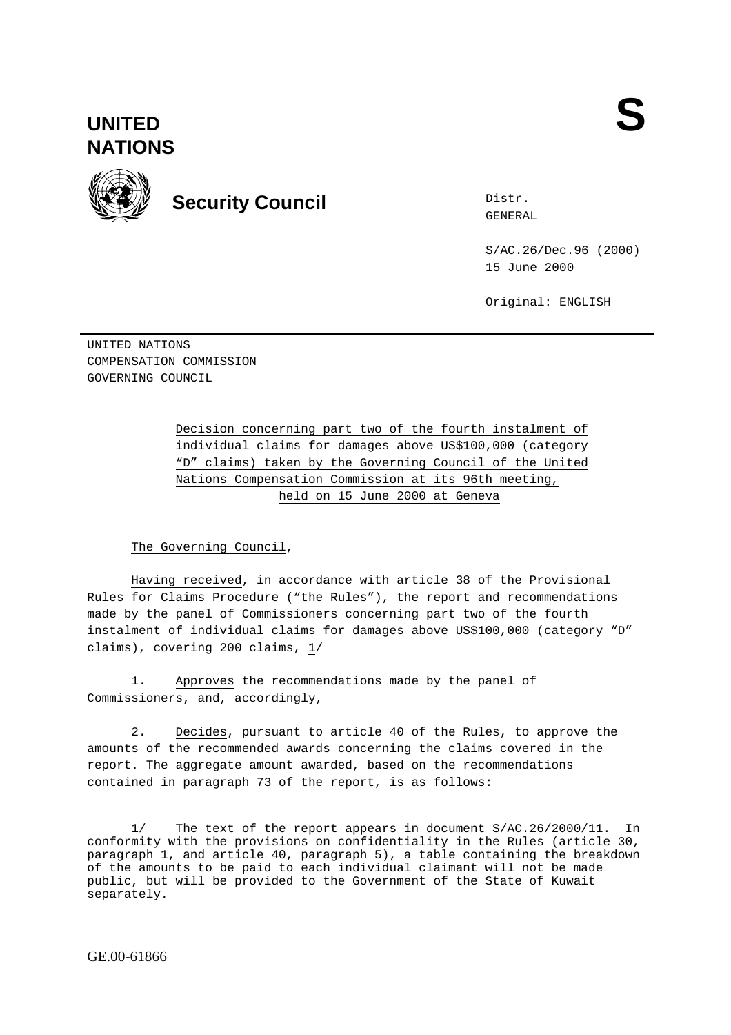## **UNITED NATIONS**



**Security Council** Exercise Security Council

Distr.

S/AC.26/Dec.96 (2000) 15 June 2000

Original: ENGLISH

UNITED NATIONS COMPENSATION COMMISSION GOVERNING COUNCIL

> Decision concerning part two of the fourth instalment of individual claims for damages above US\$100,000 (category "D" claims) taken by the Governing Council of the United Nations Compensation Commission at its 96th meeting, held on 15 June 2000 at Geneva

## The Governing Council,

Having received, in accordance with article 38 of the Provisional Rules for Claims Procedure ("the Rules"), the report and recommendations made by the panel of Commissioners concerning part two of the fourth instalment of individual claims for damages above US\$100,000 (category "D" claims), covering 200 claims, 1/

1. Approves the recommendations made by the panel of Commissioners, and, accordingly,

2. Decides, pursuant to article 40 of the Rules, to approve the amounts of the recommended awards concerning the claims covered in the report. The aggregate amount awarded, based on the recommendations contained in paragraph 73 of the report, is as follows:

 $\overline{a}$ 1/ The text of the report appears in document S/AC.26/2000/11. In conformity with the provisions on confidentiality in the Rules (article 30, paragraph 1, and article 40, paragraph 5), a table containing the breakdown of the amounts to be paid to each individual claimant will not be made public, but will be provided to the Government of the State of Kuwait separately.